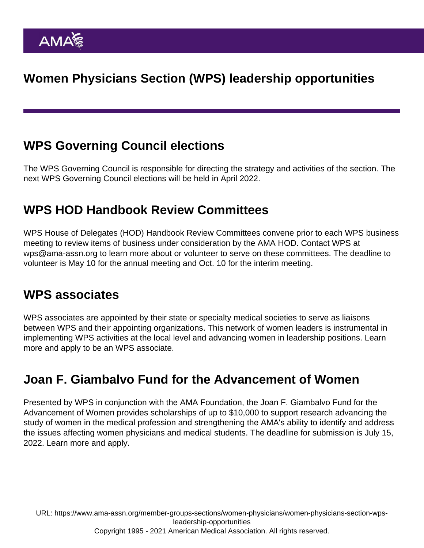# WPS Governing Council elections

The [WPS Governing Council](https://www.ama-assn.org/member-groups-sections/women-physicians/women-physicians-section-wps-governing-council) is responsible for directing the strategy and activities of the section. The next WPS [Governing Council elections](https://www.ama-assn.org/member-groups-sections/women-physicians/women-physicians-section-wps-governing-council-elections) will be held in April 2022.

### WPS HOD Handbook Review Committees

WPS House of Delegates (HOD) Handbook Review Committees convene prior to each WPS business meeting to review items of business under consideration by the AMA HOD. Contact WPS at [wps@ama-assn.org](mailto:wps@ama-assn.org) to learn more about or volunteer to serve on these committees. The deadline to volunteer is May 10 for the annual meeting and Oct. 10 for the interim meeting.

#### WPS associates

WPS associates are appointed by their state or specialty medical societies to serve as liaisons between WPS and their appointing organizations. This network of women leaders is instrumental in implementing WPS activities at the local level and advancing women in leadership positions. [Learn](https://www.ama-assn.org/form/wps-associate-appointment) [more and apply](https://www.ama-assn.org/form/wps-associate-appointment) to be an WPS associate.

# Joan F. Giambalvo Fund for the Advancement of Women

Presented by WPS in conjunction with the AMA Foundation, the Joan F. Giambalvo Fund for the Advancement of Women provides scholarships of up to \$10,000 to support research advancing the study of women in the medical profession and strengthening the AMA's ability to identify and address the issues affecting women physicians and medical students. The deadline for submission is July 15, 2022. [Learn more and apply](https://www.ama-assn.org/about/awards/joan-f-giambalvo-fund-advancement-women).

URL: [https://www.ama-assn.org/member-groups-sections/women-physicians/women-physicians-section-wps](https://www.ama-assn.org/member-groups-sections/women-physicians/women-physicians-section-wps-leadership-opportunities)[leadership-opportunities](https://www.ama-assn.org/member-groups-sections/women-physicians/women-physicians-section-wps-leadership-opportunities) Copyright 1995 - 2021 American Medical Association. All rights reserved.